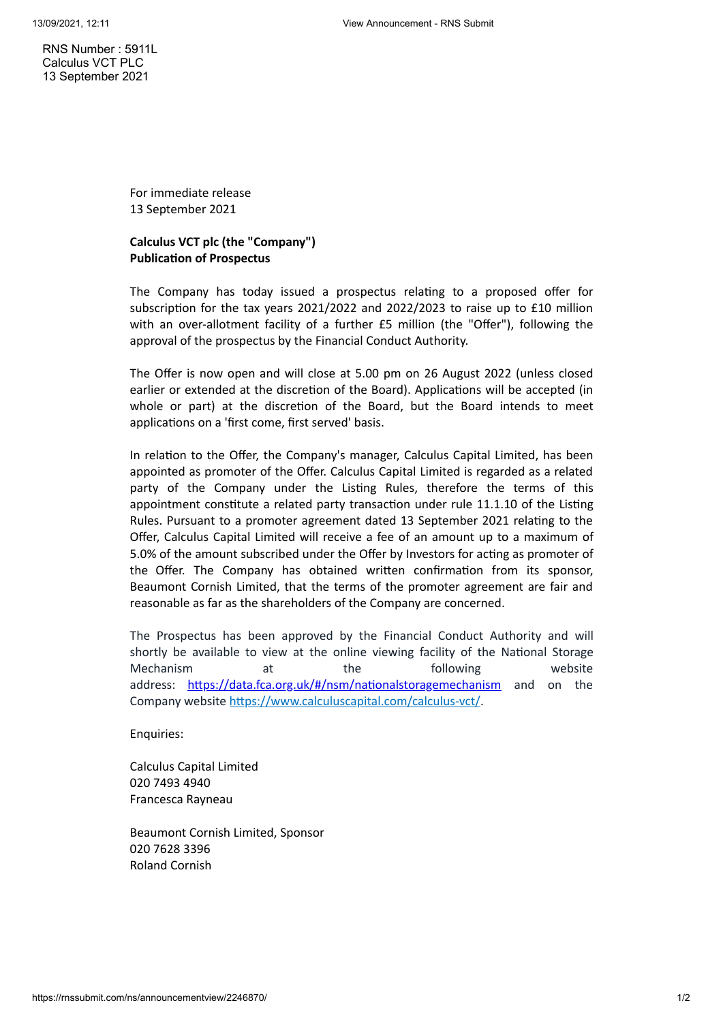RNS Number : 5911L Calculus VCT PLC 13 September 2021

> For immediate release 13 September 2021

## **Calculus VCT plc (the "Company") Publication of Prospectus**

The Company has today issued a prospectus relating to a proposed offer for subscription for the tax years 2021/2022 and 2022/2023 to raise up to £10 million with an over-allotment facility of a further £5 million (the "Offer"), following the approval of the prospectus by the Financial Conduct Authority.

The Offer is now open and will close at 5.00 pm on 26 August 2022 (unless closed earlier or extended at the discretion of the Board). Applications will be accepted (in whole or part) at the discretion of the Board, but the Board intends to meet applications on a 'first come, first served' basis.

In relation to the Offer, the Company's manager, Calculus Capital Limited, has been appointed as promoter of the Offer. Calculus Capital Limited is regarded as a related party of the Company under the Listing Rules, therefore the terms of this appointment constitute a related party transaction under rule 11.1.10 of the Listing Rules. Pursuant to a promoter agreement dated 13 September 2021 relating to the Offer, Calculus Capital Limited will receive a fee of an amount up to a maximum of 5.0% of the amount subscribed under the Offer by Investors for acting as promoter of the Offer. The Company has obtained written confirmation from its sponsor, Beaumont Cornish Limited, that the terms of the promoter agreement are fair and reasonable as far as the shareholders of the Company are concerned.

The Prospectus has been approved by the Financial Conduct Authority and will shortly be available to view at the online viewing facility of the National Storage Mechanism at the following website address: [https://data.fca.org.uk/#/nsm/nationalstoragemechanism](https://www.globenewswire.com/Tracker?data=ZgEJ84U9aCdGrBMIziWEER3NOMl5Tk38VAbnPa1fqjUwXZyJkBsSd88cGkHQUzMVe7x50WGrOIRrLCLDYUlZQCYlARpKsbfYLyYawLiuNer9GPHNF2QvV43-t0K_QHZ70o2wcJrTP_XydHi9_NhPB3S5vzrcZuG9zq7eZLGFuu4Bm_sV7dqK48IuyU6XeSxX) and on the Company website https://www.calculuscapital.com/calculus-vct/.

Enquiries:

Calculus Capital Limited 020 7493 4940 Francesca Rayneau

Beaumont Cornish Limited, Sponsor 020 7628 3396 Roland Cornish